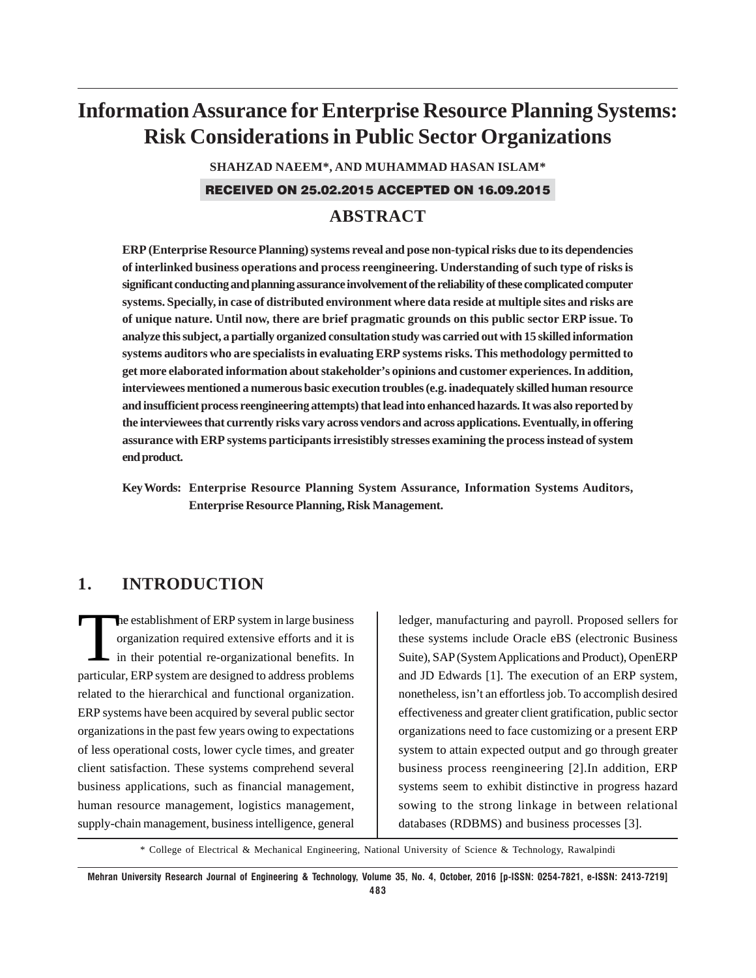# **Information Assurance for Enterprise Resource Planning Systems: Risk Considerations in Public Sector Organizations**

**SHAHZAD NAEEM\*, AND MUHAMMAD HASAN ISLAM\***

RECEIVED ON 25.02.2015 ACCEPTED ON 16.09.2015

# **ABSTRACT**

**ERP (Enterprise Resource Planning) systems reveal and pose non-typical risks due to its dependencies of interlinked business operations and process reengineering. Understanding of such type of risks is significant conducting and planning assurance involvement of the reliability of these complicated computer systems. Specially, in case of distributed environment where data reside at multiple sites and risks are of unique nature. Until now, there are brief pragmatic grounds on this public sector ERP issue. To analyze this subject, a partially organized consultation study was carried out with 15 skilled information systems auditors who are specialists in evaluating ERP systems risks. This methodology permitted to get more elaborated information about stakeholder's opinions and customer experiences. In addition, interviewees mentioned a numerous basic execution troubles (e.g. inadequately skilled human resource and insufficient process reengineering attempts) that lead into enhanced hazards. It was also reported by the interviewees that currently risks vary across vendors and across applications. Eventually, in offering assurance with ERP systems participants irresistibly stresses examining the process instead of system end product.**

**Key Words: Enterprise Resource Planning System Assurance, Information Systems Auditors, Enterprise Resource Planning, Risk Management.**

# **1. INTRODUCTION**

The establishment of ERP system in large business<br>organization required extensive efforts and it is<br>in their potential re-organizational benefits. In organization required extensive efforts and it is in their potential re-organizational benefits. In particular, ERP system are designed to address problems related to the hierarchical and functional organization. ERP systems have been acquired by several public sector organizations in the past few years owing to expectations of less operational costs, lower cycle times, and greater client satisfaction. These systems comprehend several business applications, such as financial management, human resource management, logistics management, supply-chain management, business intelligence, general

ledger, manufacturing and payroll. Proposed sellers for these systems include Oracle eBS (electronic Business Suite), SAP (System Applications and Product), OpenERP and JD Edwards [1]. The execution of an ERP system, nonetheless, isn't an effortless job. To accomplish desired effectiveness and greater client gratification, public sector organizations need to face customizing or a present ERP system to attain expected output and go through greater business process reengineering [2].In addition, ERP systems seem to exhibit distinctive in progress hazard sowing to the strong linkage in between relational databases (RDBMS) and business processes [3].

\* College of Electrical & Mechanical Engineering, National University of Science & Technology, Rawalpindi

**Mehran University Research Journal of Engineering & Technology, Volume 35, No. 4, October, 2016 [p-ISSN: 0254-7821, e-ISSN: 2413-7219] 483**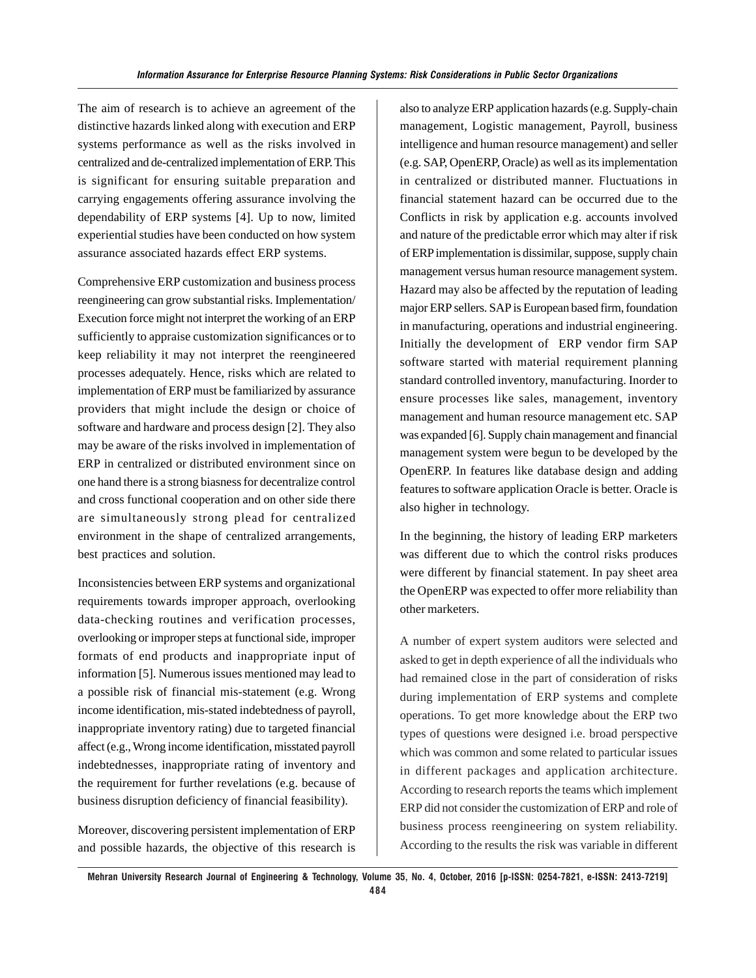The aim of research is to achieve an agreement of the distinctive hazards linked along with execution and ERP systems performance as well as the risks involved in centralized and de-centralized implementation of ERP. This is significant for ensuring suitable preparation and carrying engagements offering assurance involving the dependability of ERP systems [4]. Up to now, limited experiential studies have been conducted on how system assurance associated hazards effect ERP systems.

Comprehensive ERP customization and business process reengineering can grow substantial risks. Implementation/ Execution force might not interpret the working of an ERP sufficiently to appraise customization significances or to keep reliability it may not interpret the reengineered processes adequately. Hence, risks which are related to implementation of ERP must be familiarized by assurance providers that might include the design or choice of software and hardware and process design [2]. They also may be aware of the risks involved in implementation of ERP in centralized or distributed environment since on one hand there is a strong biasness for decentralize control and cross functional cooperation and on other side there are simultaneously strong plead for centralized environment in the shape of centralized arrangements, best practices and solution.

Inconsistencies between ERP systems and organizational requirements towards improper approach, overlooking data-checking routines and verification processes, overlooking or improper steps at functional side, improper formats of end products and inappropriate input of information [5]. Numerous issues mentioned may lead to a possible risk of financial mis-statement (e.g. Wrong income identification, mis-stated indebtedness of payroll, inappropriate inventory rating) due to targeted financial affect (e.g., Wrong income identification, misstated payroll indebtednesses, inappropriate rating of inventory and the requirement for further revelations (e.g. because of business disruption deficiency of financial feasibility).

Moreover, discovering persistent implementation of ERP and possible hazards, the objective of this research is also to analyze ERP application hazards (e.g. Supply-chain management, Logistic management, Payroll, business intelligence and human resource management) and seller (e.g. SAP, OpenERP, Oracle) as well as its implementation in centralized or distributed manner. Fluctuations in financial statement hazard can be occurred due to the Conflicts in risk by application e.g. accounts involved and nature of the predictable error which may alter if risk of ERP implementation is dissimilar, suppose, supply chain management versus human resource management system. Hazard may also be affected by the reputation of leading major ERP sellers. SAP is European based firm, foundation in manufacturing, operations and industrial engineering. Initially the development of ERP vendor firm SAP software started with material requirement planning standard controlled inventory, manufacturing. Inorder to ensure processes like sales, management, inventory management and human resource management etc. SAP was expanded [6]. Supply chain management and financial management system were begun to be developed by the OpenERP. In features like database design and adding features to software application Oracle is better. Oracle is also higher in technology.

In the beginning, the history of leading ERP marketers was different due to which the control risks produces were different by financial statement. In pay sheet area the OpenERP was expected to offer more reliability than other marketers.

A number of expert system auditors were selected and asked to get in depth experience of all the individuals who had remained close in the part of consideration of risks during implementation of ERP systems and complete operations. To get more knowledge about the ERP two types of questions were designed i.e. broad perspective which was common and some related to particular issues in different packages and application architecture. According to research reports the teams which implement ERP did not consider the customization of ERP and role of business process reengineering on system reliability. According to the results the risk was variable in different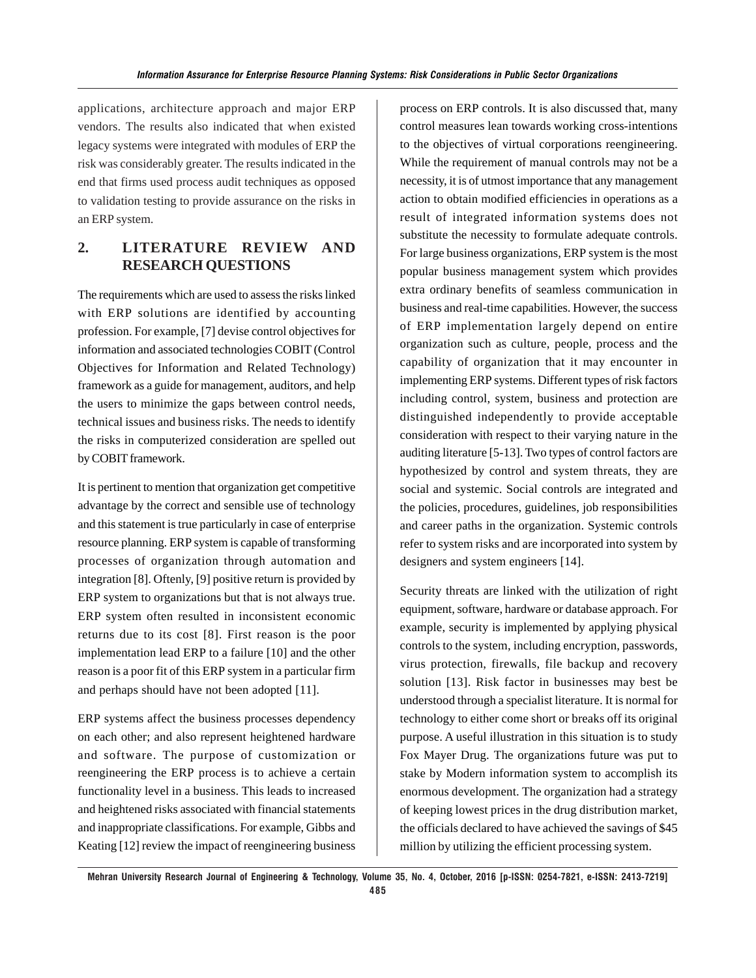applications, architecture approach and major ERP vendors. The results also indicated that when existed legacy systems were integrated with modules of ERP the risk was considerably greater. The results indicated in the end that firms used process audit techniques as opposed to validation testing to provide assurance on the risks in an ERP system.

# **2. LITERATURE REVIEW AND RESEARCH QUESTIONS**

The requirements which are used to assess the risks linked with ERP solutions are identified by accounting profession. For example, [7] devise control objectives for information and associated technologies COBIT (Control Objectives for Information and Related Technology) framework as a guide for management, auditors, and help the users to minimize the gaps between control needs, technical issues and business risks. The needs to identify the risks in computerized consideration are spelled out by COBIT framework.

It is pertinent to mention that organization get competitive advantage by the correct and sensible use of technology and this statement is true particularly in case of enterprise resource planning. ERP system is capable of transforming processes of organization through automation and integration [8]. Oftenly, [9] positive return is provided by ERP system to organizations but that is not always true. ERP system often resulted in inconsistent economic returns due to its cost [8]. First reason is the poor implementation lead ERP to a failure [10] and the other reason is a poor fit of this ERP system in a particular firm and perhaps should have not been adopted [11].

ERP systems affect the business processes dependency on each other; and also represent heightened hardware and software. The purpose of customization or reengineering the ERP process is to achieve a certain functionality level in a business. This leads to increased and heightened risks associated with financial statements and inappropriate classifications. For example, Gibbs and Keating [12] review the impact of reengineering business process on ERP controls. It is also discussed that, many control measures lean towards working cross-intentions to the objectives of virtual corporations reengineering. While the requirement of manual controls may not be a necessity, it is of utmost importance that any management action to obtain modified efficiencies in operations as a result of integrated information systems does not substitute the necessity to formulate adequate controls. For large business organizations, ERP system is the most popular business management system which provides extra ordinary benefits of seamless communication in business and real-time capabilities. However, the success of ERP implementation largely depend on entire organization such as culture, people, process and the capability of organization that it may encounter in implementing ERP systems. Different types of risk factors including control, system, business and protection are distinguished independently to provide acceptable consideration with respect to their varying nature in the auditing literature [5-13]. Two types of control factors are hypothesized by control and system threats, they are social and systemic. Social controls are integrated and the policies, procedures, guidelines, job responsibilities and career paths in the organization. Systemic controls refer to system risks and are incorporated into system by designers and system engineers [14].

Security threats are linked with the utilization of right equipment, software, hardware or database approach. For example, security is implemented by applying physical controls to the system, including encryption, passwords, virus protection, firewalls, file backup and recovery solution [13]. Risk factor in businesses may best be understood through a specialist literature. It is normal for technology to either come short or breaks off its original purpose. A useful illustration in this situation is to study Fox Mayer Drug. The organizations future was put to stake by Modern information system to accomplish its enormous development. The organization had a strategy of keeping lowest prices in the drug distribution market, the officials declared to have achieved the savings of \$45 million by utilizing the efficient processing system.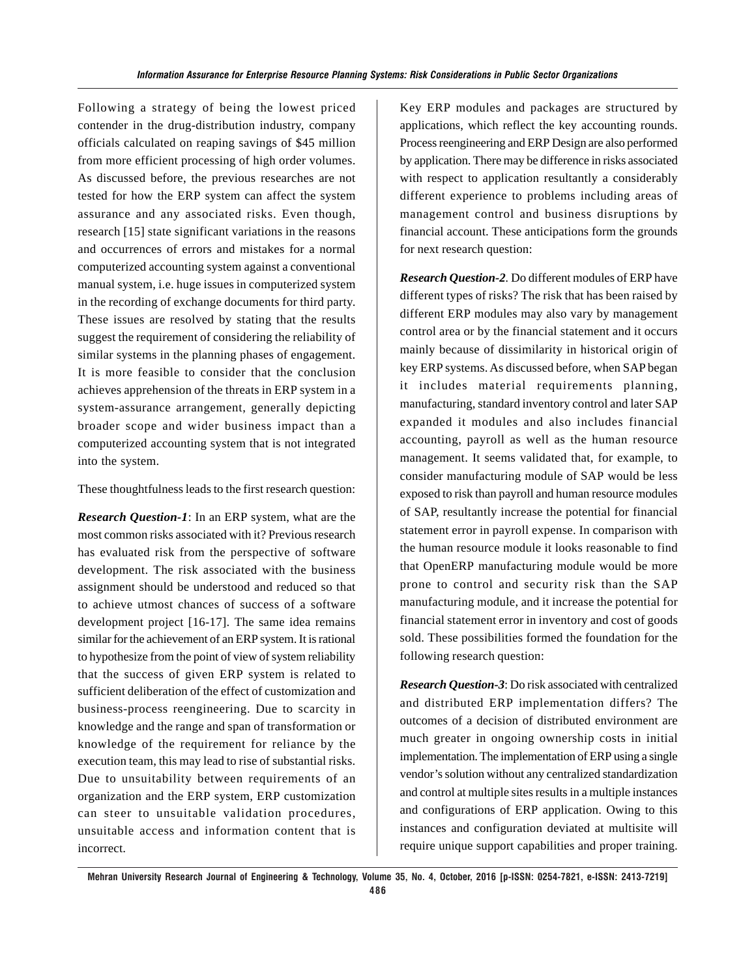Following a strategy of being the lowest priced contender in the drug-distribution industry, company officials calculated on reaping savings of \$45 million from more efficient processing of high order volumes. As discussed before, the previous researches are not tested for how the ERP system can affect the system assurance and any associated risks. Even though, research [15] state significant variations in the reasons and occurrences of errors and mistakes for a normal computerized accounting system against a conventional manual system, i.e. huge issues in computerized system in the recording of exchange documents for third party. These issues are resolved by stating that the results suggest the requirement of considering the reliability of similar systems in the planning phases of engagement. It is more feasible to consider that the conclusion achieves apprehension of the threats in ERP system in a system-assurance arrangement, generally depicting broader scope and wider business impact than a computerized accounting system that is not integrated into the system.

These thoughtfulness leads to the first research question:

*Research Question-1*: In an ERP system, what are the most common risks associated with it? Previous research has evaluated risk from the perspective of software development. The risk associated with the business assignment should be understood and reduced so that to achieve utmost chances of success of a software development project [16-17]. The same idea remains similar for the achievement of an ERP system. It is rational to hypothesize from the point of view of system reliability that the success of given ERP system is related to sufficient deliberation of the effect of customization and business-process reengineering. Due to scarcity in knowledge and the range and span of transformation or knowledge of the requirement for reliance by the execution team, this may lead to rise of substantial risks. Due to unsuitability between requirements of an organization and the ERP system, ERP customization can steer to unsuitable validation procedures, unsuitable access and information content that is incorrect.

Key ERP modules and packages are structured by applications, which reflect the key accounting rounds. Process reengineering and ERP Design are also performed by application. There may be difference in risks associated with respect to application resultantly a considerably different experience to problems including areas of management control and business disruptions by financial account. These anticipations form the grounds for next research question:

*Research Question-2.* Do different modules of ERP have different types of risks? The risk that has been raised by different ERP modules may also vary by management control area or by the financial statement and it occurs mainly because of dissimilarity in historical origin of key ERP systems. As discussed before, when SAP began it includes material requirements planning, manufacturing, standard inventory control and later SAP expanded it modules and also includes financial accounting, payroll as well as the human resource management. It seems validated that, for example, to consider manufacturing module of SAP would be less exposed to risk than payroll and human resource modules of SAP, resultantly increase the potential for financial statement error in payroll expense. In comparison with the human resource module it looks reasonable to find that OpenERP manufacturing module would be more prone to control and security risk than the SAP manufacturing module, and it increase the potential for financial statement error in inventory and cost of goods sold. These possibilities formed the foundation for the following research question:

*Research Question-3*: Do risk associated with centralized and distributed ERP implementation differs? The outcomes of a decision of distributed environment are much greater in ongoing ownership costs in initial implementation. The implementation of ERP using a single vendor's solution without any centralized standardization and control at multiple sites results in a multiple instances and configurations of ERP application. Owing to this instances and configuration deviated at multisite will require unique support capabilities and proper training.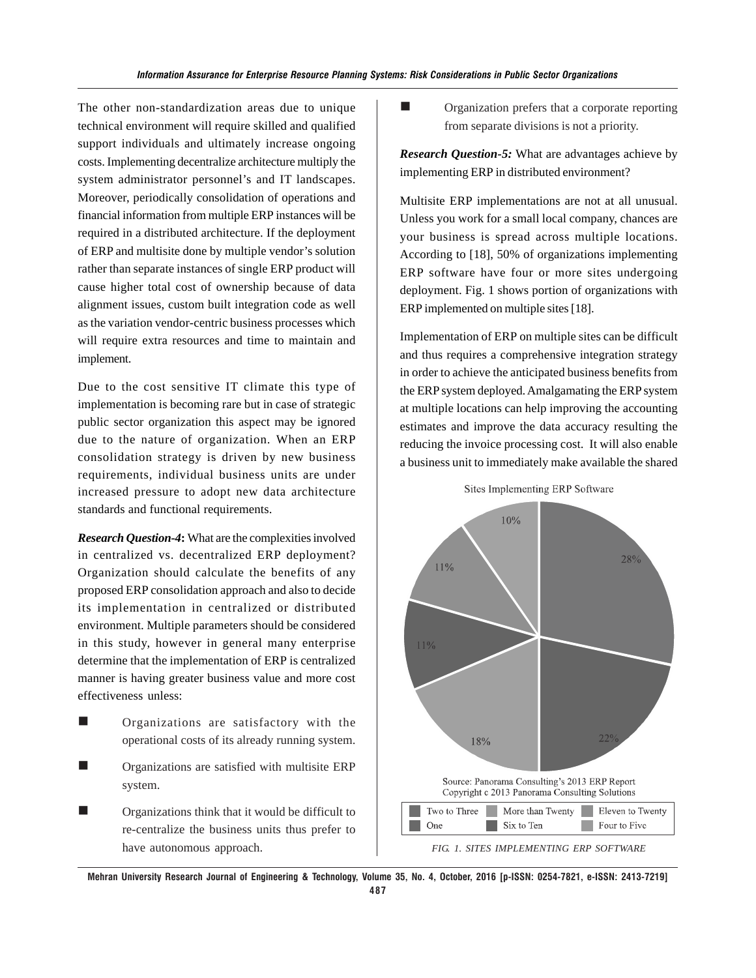The other non-standardization areas due to unique technical environment will require skilled and qualified support individuals and ultimately increase ongoing costs. Implementing decentralize architecture multiply the system administrator personnel's and IT landscapes. Moreover, periodically consolidation of operations and financial information from multiple ERP instances will be required in a distributed architecture. If the deployment of ERP and multisite done by multiple vendor's solution rather than separate instances of single ERP product will cause higher total cost of ownership because of data alignment issues, custom built integration code as well as the variation vendor-centric business processes which will require extra resources and time to maintain and implement.

Due to the cost sensitive IT climate this type of implementation is becoming rare but in case of strategic public sector organization this aspect may be ignored due to the nature of organization. When an ERP consolidation strategy is driven by new business requirements, individual business units are under increased pressure to adopt new data architecture standards and functional requirements.

*Research Question-4***:** What are the complexities involved in centralized vs. decentralized ERP deployment? Organization should calculate the benefits of any proposed ERP consolidation approach and also to decide its implementation in centralized or distributed environment. Multiple parameters should be considered in this study, however in general many enterprise determine that the implementation of ERP is centralized manner is having greater business value and more cost effectiveness unless:

- Organizations are satisfactory with the operational costs of its already running system.
- **Organizations are satisfied with multisite ERP** system.
- Organizations think that it would be difficult to re-centralize the business units thus prefer to have autonomous approach.

**Exercise 1** Organization prefers that a corporate reporting from separate divisions is not a priority.

*Research Question-5:* What are advantages achieve by implementing ERP in distributed environment?

Multisite ERP implementations are not at all unusual. Unless you work for a small local company, chances are your business is spread across multiple locations. According to [18], 50% of organizations implementing ERP software have four or more sites undergoing deployment. Fig. 1 shows portion of organizations with ERP implemented on multiple sites [18].

Implementation of ERP on multiple sites can be difficult and thus requires a comprehensive integration strategy in order to achieve the anticipated business benefits from the ERP system deployed. Amalgamating the ERP system at multiple locations can help improving the accounting estimates and improve the data accuracy resulting the reducing the invoice processing cost. It will also enable a business unit to immediately make available the shared

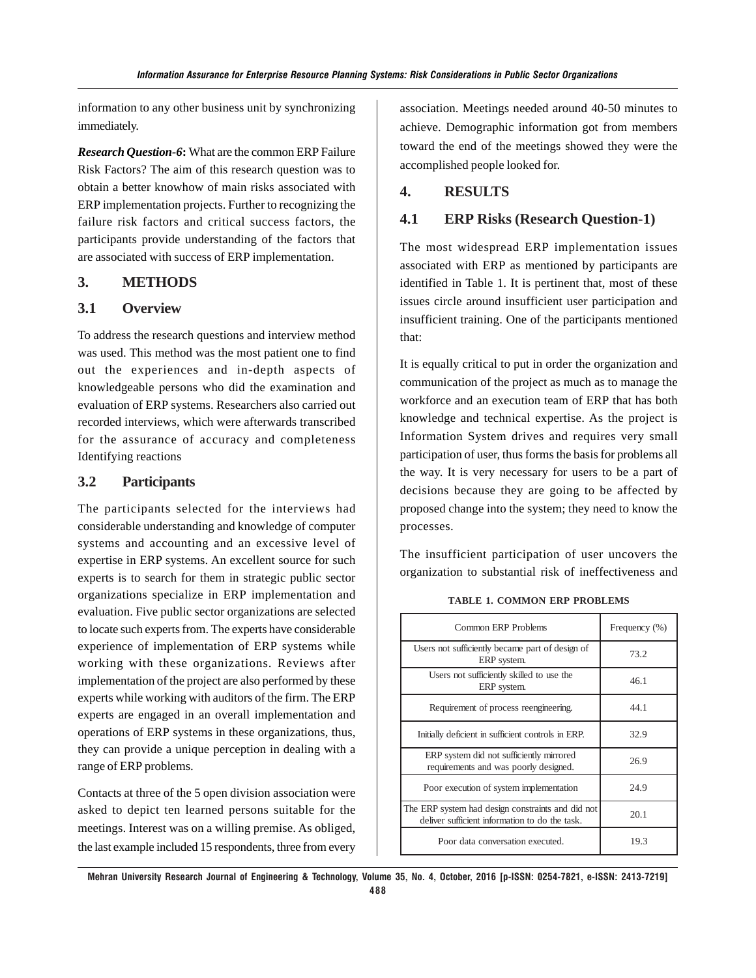information to any other business unit by synchronizing immediately.

*Research Question-6***:** What are the common ERP Failure Risk Factors? The aim of this research question was to obtain a better knowhow of main risks associated with ERP implementation projects. Further to recognizing the failure risk factors and critical success factors, the participants provide understanding of the factors that are associated with success of ERP implementation.

### **3. METHODS**

# **3.1 Overview**

To address the research questions and interview method was used. This method was the most patient one to find out the experiences and in-depth aspects of knowledgeable persons who did the examination and evaluation of ERP systems. Researchers also carried out recorded interviews, which were afterwards transcribed for the assurance of accuracy and completeness Identifying reactions

# **3.2 Participants**

The participants selected for the interviews had considerable understanding and knowledge of computer systems and accounting and an excessive level of expertise in ERP systems. An excellent source for such experts is to search for them in strategic public sector organizations specialize in ERP implementation and evaluation. Five public sector organizations are selected to locate such experts from. The experts have considerable experience of implementation of ERP systems while working with these organizations. Reviews after implementation of the project are also performed by these experts while working with auditors of the firm. The ERP experts are engaged in an overall implementation and operations of ERP systems in these organizations, thus, they can provide a unique perception in dealing with a range of ERP problems.

Contacts at three of the 5 open division association were asked to depict ten learned persons suitable for the meetings. Interest was on a willing premise. As obliged, the last example included 15 respondents, three from every association. Meetings needed around 40-50 minutes to achieve. Demographic information got from members toward the end of the meetings showed they were the accomplished people looked for.

## **4. RESULTS**

### **4.1 ERP Risks (Research Question-1)**

The most widespread ERP implementation issues associated with ERP as mentioned by participants are identified in Table 1. It is pertinent that, most of these issues circle around insufficient user participation and insufficient training. One of the participants mentioned that:

It is equally critical to put in order the organization and communication of the project as much as to manage the workforce and an execution team of ERP that has both knowledge and technical expertise. As the project is Information System drives and requires very small participation of user, thus forms the basis for problems all the way. It is very necessary for users to be a part of decisions because they are going to be affected by proposed change into the system; they need to know the processes.

The insufficient participation of user uncovers the organization to substantial risk of ineffectiveness and

| Common ERP Problems                                                                                 | Frequency (%) |
|-----------------------------------------------------------------------------------------------------|---------------|
| Users not sufficiently became part of design of<br>ERP system.                                      | 73.2          |
| Users not sufficiently skilled to use the<br>ERP system.                                            | 46.1          |
| Requirement of process reengineering.                                                               | 44.1          |
| Initially deficient in sufficient controls in ERP.                                                  | 32.9          |
| ERP system did not sufficiently mirrored<br>requirements and was poorly designed.                   | 26.9          |
| Poor execution of system implementation                                                             | 24.9          |
| The ERP system had design constraints and did not<br>deliver sufficient information to do the task. | 20.1          |
| Poor data conversation executed.                                                                    | 19.3          |

**TABLE 1. COMMON ERP PROBLEMS**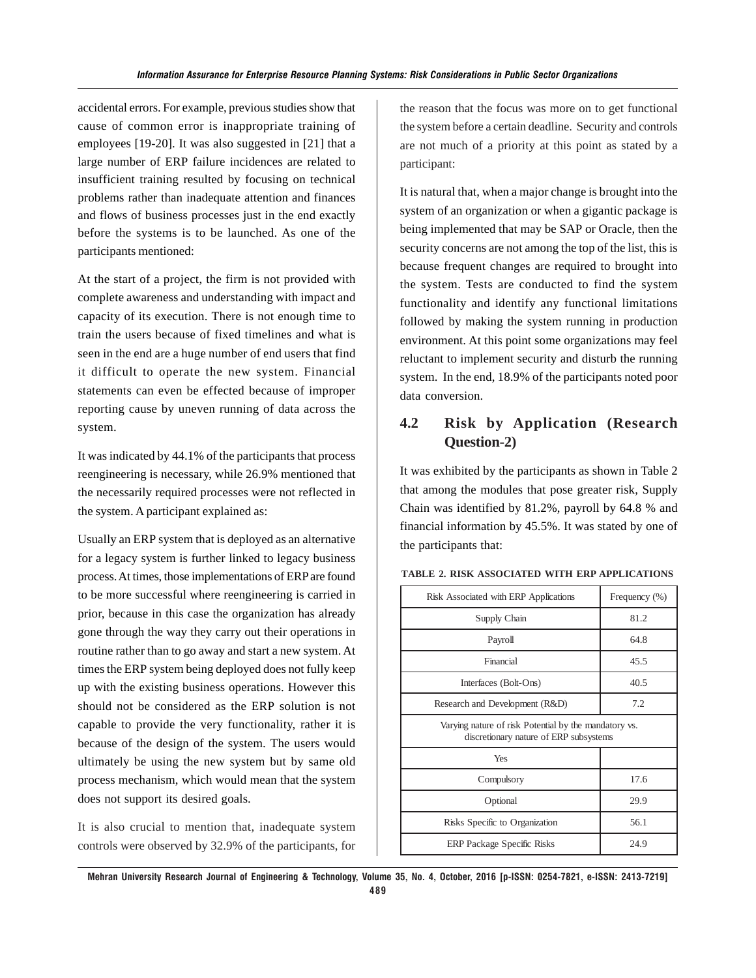accidental errors. For example, previous studies show that cause of common error is inappropriate training of employees [19-20]. It was also suggested in [21] that a large number of ERP failure incidences are related to insufficient training resulted by focusing on technical problems rather than inadequate attention and finances and flows of business processes just in the end exactly before the systems is to be launched. As one of the participants mentioned:

At the start of a project, the firm is not provided with complete awareness and understanding with impact and capacity of its execution. There is not enough time to train the users because of fixed timelines and what is seen in the end are a huge number of end users that find it difficult to operate the new system. Financial statements can even be effected because of improper reporting cause by uneven running of data across the system.

It was indicated by 44.1% of the participants that process reengineering is necessary, while 26.9% mentioned that the necessarily required processes were not reflected in the system. A participant explained as:

Usually an ERP system that is deployed as an alternative for a legacy system is further linked to legacy business process. At times, those implementations of ERP are found to be more successful where reengineering is carried in prior, because in this case the organization has already gone through the way they carry out their operations in routine rather than to go away and start a new system. At times the ERP system being deployed does not fully keep up with the existing business operations. However this should not be considered as the ERP solution is not capable to provide the very functionality, rather it is because of the design of the system. The users would ultimately be using the new system but by same old process mechanism, which would mean that the system does not support its desired goals.

It is also crucial to mention that, inadequate system controls were observed by 32.9% of the participants, for the reason that the focus was more on to get functional the system before a certain deadline. Security and controls are not much of a priority at this point as stated by a participant:

It is natural that, when a major change is brought into the system of an organization or when a gigantic package is being implemented that may be SAP or Oracle, then the security concerns are not among the top of the list, this is because frequent changes are required to brought into the system. Tests are conducted to find the system functionality and identify any functional limitations followed by making the system running in production environment. At this point some organizations may feel reluctant to implement security and disturb the running system. In the end, 18.9% of the participants noted poor data conversion.

# **4.2 Risk by Application (Research Question-2)**

It was exhibited by the participants as shown in Table 2 that among the modules that pose greater risk, Supply Chain was identified by 81.2%, payroll by 64.8 % and financial information by 45.5%. It was stated by one of the participants that:

| Risk Associated with ERP Applications                                                           | Frequency (%) |
|-------------------------------------------------------------------------------------------------|---------------|
| Supply Chain                                                                                    | 81.2          |
| Payroll                                                                                         | 64.8          |
| Financial                                                                                       | 45.5          |
| Interfaces (Bolt-Ons)                                                                           | 40.5          |
| Research and Development (R&D)                                                                  | 7.2           |
| Varying nature of risk Potential by the mandatory vs.<br>discretionary nature of ERP subsystems |               |
| Yes                                                                                             |               |
| Compulsory                                                                                      | 17.6          |
| Optional                                                                                        | 29.9          |
| Risks Specific to Organization                                                                  | 56.1          |
| <b>ERP</b> Package Specific Risks                                                               | 24.9          |

#### **TABLE 2. RISK ASSOCIATED WITH ERP APPLICATIONS**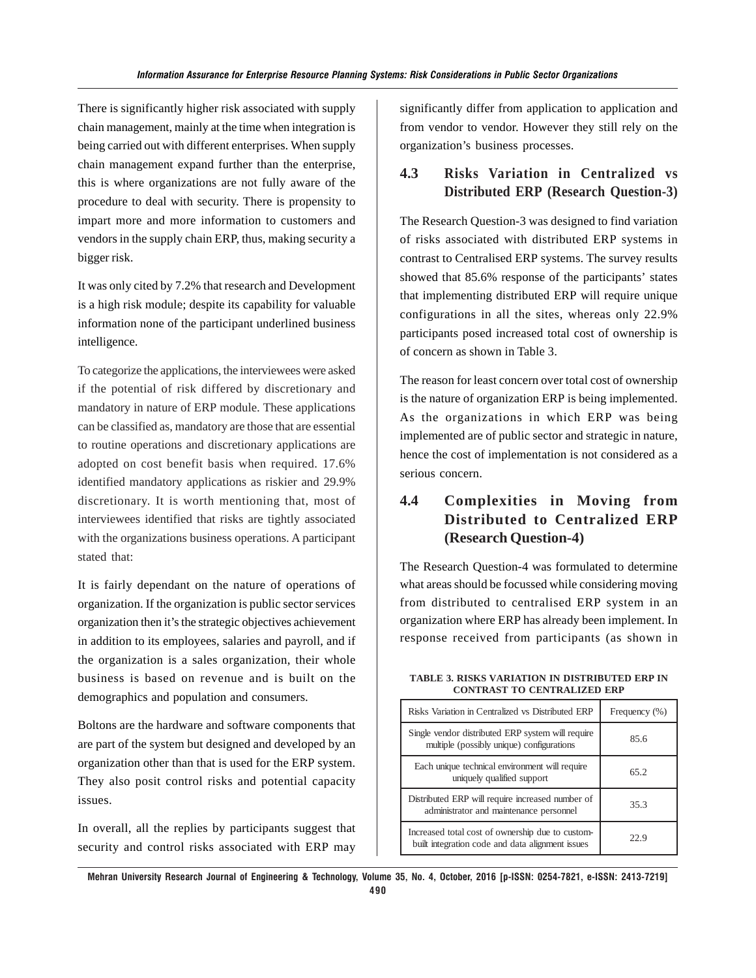There is significantly higher risk associated with supply chain management, mainly at the time when integration is being carried out with different enterprises. When supply chain management expand further than the enterprise, this is where organizations are not fully aware of the procedure to deal with security. There is propensity to impart more and more information to customers and vendors in the supply chain ERP, thus, making security a bigger risk.

It was only cited by 7.2% that research and Development is a high risk module; despite its capability for valuable information none of the participant underlined business intelligence.

To categorize the applications, the interviewees were asked if the potential of risk differed by discretionary and mandatory in nature of ERP module. These applications can be classified as, mandatory are those that are essential to routine operations and discretionary applications are adopted on cost benefit basis when required. 17.6% identified mandatory applications as riskier and 29.9% discretionary. It is worth mentioning that, most of interviewees identified that risks are tightly associated with the organizations business operations. A participant stated that:

It is fairly dependant on the nature of operations of organization. If the organization is public sector services organization then it's the strategic objectives achievement in addition to its employees, salaries and payroll, and if the organization is a sales organization, their whole business is based on revenue and is built on the demographics and population and consumers.

Boltons are the hardware and software components that are part of the system but designed and developed by an organization other than that is used for the ERP system. They also posit control risks and potential capacity issues.

In overall, all the replies by participants suggest that security and control risks associated with ERP may significantly differ from application to application and from vendor to vendor. However they still rely on the organization's business processes.

# **4.3 Risks Variation in Centralized vs Distributed ERP (Research Question-3)**

The Research Question-3 was designed to find variation of risks associated with distributed ERP systems in contrast to Centralised ERP systems. The survey results showed that 85.6% response of the participants' states that implementing distributed ERP will require unique configurations in all the sites, whereas only 22.9% participants posed increased total cost of ownership is of concern as shown in Table 3.

The reason for least concern over total cost of ownership is the nature of organization ERP is being implemented. As the organizations in which ERP was being implemented are of public sector and strategic in nature, hence the cost of implementation is not considered as a serious concern.

# **4.4 Complexities in Moving from Distributed to Centralized ERP (Research Question-4)**

The Research Question-4 was formulated to determine what areas should be focussed while considering moving from distributed to centralised ERP system in an organization where ERP has already been implement. In response received from participants (as shown in

| Risks Variation in Centralized vs Distributed ERP                                                    | Frequency (%) |
|------------------------------------------------------------------------------------------------------|---------------|
| Single vendor distributed ERP system will require<br>multiple (possibly unique) configurations       | 85.6          |
| Each unique technical environment will require<br>uniquely qualified support                         | 65.2          |
| Distributed ERP will require increased number of<br>administrator and maintenance personnel          | 35.3          |
| Increased total cost of ownership due to custom-<br>built integration code and data alignment issues | 22.9          |

#### **TABLE 3. RISKS VARIATION IN DISTRIBUTED ERP IN CONTRAST TO CENTRALIZED ERP**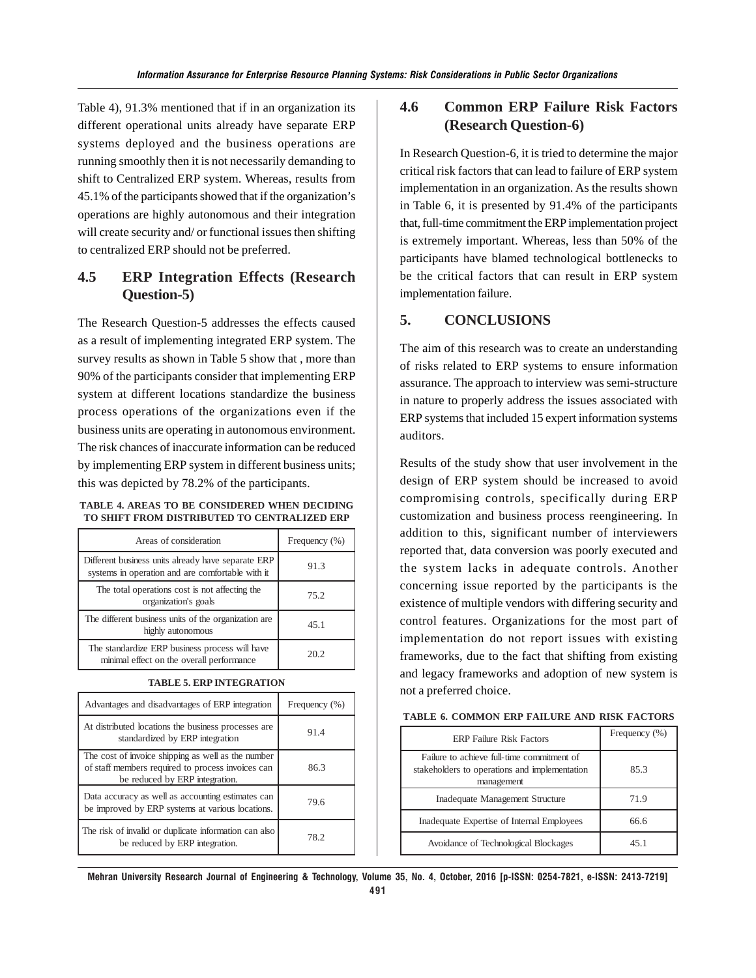Table 4), 91.3% mentioned that if in an organization its different operational units already have separate ERP systems deployed and the business operations are running smoothly then it is not necessarily demanding to shift to Centralized ERP system. Whereas, results from 45.1% of the participants showed that if the organization's operations are highly autonomous and their integration will create security and/ or functional issues then shifting to centralized ERP should not be preferred.

# **4.5 ERP Integration Effects (Research Question-5)**

The Research Question-5 addresses the effects caused as a result of implementing integrated ERP system. The survey results as shown in Table 5 show that , more than 90% of the participants consider that implementing ERP system at different locations standardize the business process operations of the organizations even if the business units are operating in autonomous environment. The risk chances of inaccurate information can be reduced by implementing ERP system in different business units; this was depicted by 78.2% of the participants.

#### **TABLE 4. AREAS TO BE CONSIDERED WHEN DECIDING TO SHIFT FROM DISTRIBUTED TO CENTRALIZED ERP**

| Areas of consideration                                                                                 | Frequency (%) |
|--------------------------------------------------------------------------------------------------------|---------------|
| Different business units already have separate ERP<br>systems in operation and are comfortable with it | 91.3          |
| The total operations cost is not affecting the<br>organization's goals                                 | 75.2          |
| The different business units of the organization are<br>highly autonomous                              | 45.1          |
| The standardize ERP business process will have<br>minimal effect on the overall performance            | 20.2          |

|  |  | TABLE 5. ERP INTEGRATION |  |
|--|--|--------------------------|--|
|--|--|--------------------------|--|

| Advantages and disadvantages of ERP integration                                                                                           | Frequency (%) |
|-------------------------------------------------------------------------------------------------------------------------------------------|---------------|
| At distributed locations the business processes are<br>standardized by ERP integration                                                    | 91.4          |
| The cost of invoice shipping as well as the number<br>of staff members required to process invoices can<br>be reduced by ERP integration. | 86.3          |
| Data accuracy as well as accounting estimates can<br>be improved by ERP systems at various locations.                                     | 79.6          |
| The risk of invalid or duplicate information can also<br>be reduced by ERP integration.                                                   | 78.2          |

# **4.6 Common ERP Failure Risk Factors (Research Question-6)**

In Research Question-6, it is tried to determine the major critical risk factors that can lead to failure of ERP system implementation in an organization. As the results shown in Table 6, it is presented by 91.4% of the participants that, full-time commitment the ERP implementation project is extremely important. Whereas, less than 50% of the participants have blamed technological bottlenecks to be the critical factors that can result in ERP system implementation failure.

### **5. CONCLUSIONS**

The aim of this research was to create an understanding of risks related to ERP systems to ensure information assurance. The approach to interview was semi-structure in nature to properly address the issues associated with ERP systems that included 15 expert information systems auditors.

Results of the study show that user involvement in the design of ERP system should be increased to avoid compromising controls, specifically during ERP customization and business process reengineering. In addition to this, significant number of interviewers reported that, data conversion was poorly executed and the system lacks in adequate controls. Another concerning issue reported by the participants is the existence of multiple vendors with differing security and control features. Organizations for the most part of implementation do not report issues with existing frameworks, due to the fact that shifting from existing and legacy frameworks and adoption of new system is not a preferred choice.

| TABLE 6. COMMON ERP FAILURE AND RISK FACTORS |  |
|----------------------------------------------|--|
|----------------------------------------------|--|

| <b>ERP Failure Risk Factors</b>                                                                           | Frequency (%) |
|-----------------------------------------------------------------------------------------------------------|---------------|
| Failure to achieve full-time commitment of<br>stakeholders to operations and implementation<br>management | 85.3          |
| Inadequate Management Structure                                                                           | 71.9          |
| Inadequate Expertise of Internal Employees                                                                | 66.6          |
| Avoidance of Technological Blockages                                                                      | 451           |